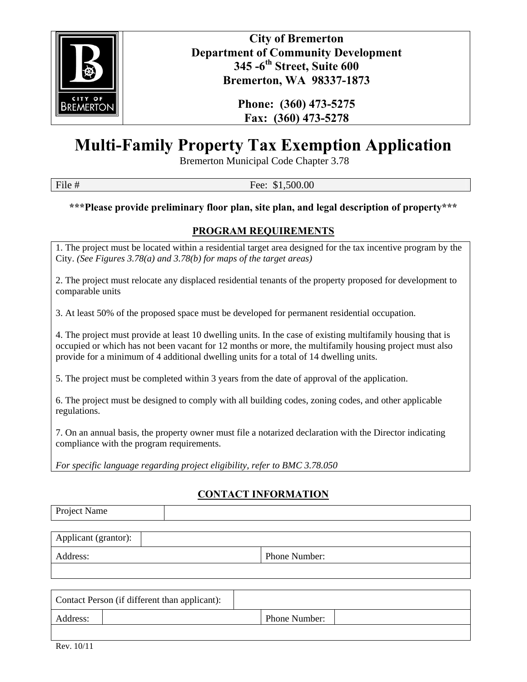

**City of Bremerton Department of Community Development 345 -6th Street, Suite 600 Bremerton, WA 98337-1873** 

> **Phone: (360) 473-5275 Fax: (360) 473-5278**

# **Multi-Family Property Tax Exemption Application**

Bremerton Municipal Code Chapter 3.78

File # Fee: \$1,500.00

**\*\*\*Please provide preliminary floor plan, site plan, and legal description of property\*\*\*** 

# **PROGRAM REQUIREMENTS**

1. The project must be located within a residential target area designed for the tax incentive program by the City. *(See Figures 3.78(a) and 3.78(b) for maps of the target areas)*

2. The project must relocate any displaced residential tenants of the property proposed for development to comparable units

3. At least 50% of the proposed space must be developed for permanent residential occupation.

4. The project must provide at least 10 dwelling units. In the case of existing multifamily housing that is occupied or which has not been vacant for 12 months or more, the multifamily housing project must also provide for a minimum of 4 additional dwelling units for a total of 14 dwelling units.

5. The project must be completed within 3 years from the date of approval of the application.

6. The project must be designed to comply with all building codes, zoning codes, and other applicable regulations.

7. On an annual basis, the property owner must file a notarized declaration with the Director indicating compliance with the program requirements.

*For specific language regarding project eligibility, refer to BMC 3.78.050*

## **CONTACT INFORMATION**

Project Name

Applicant (grantor):

Address: Phone Number:

| Contact Person (if different than applicant): |  |                      |  |
|-----------------------------------------------|--|----------------------|--|
| Address:                                      |  | <b>Phone Number:</b> |  |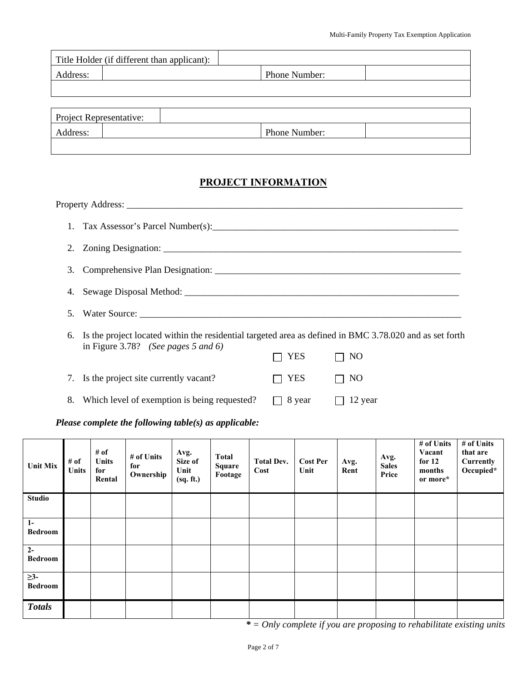|          | Title Holder (if different than applicant): |               |  |
|----------|---------------------------------------------|---------------|--|
| Address: |                                             | Phone Number: |  |
|          |                                             |               |  |

and the control of the control of the control of the control of the control of the control of the control of the

| Project Representative: |               |  |
|-------------------------|---------------|--|
| Address:                | Phone Number: |  |
|                         |               |  |

# **PROJECT INFORMATION**

| 3. |                                                                                                            |        |         |  |  |
|----|------------------------------------------------------------------------------------------------------------|--------|---------|--|--|
|    |                                                                                                            |        |         |  |  |
| 5. |                                                                                                            |        |         |  |  |
|    | 6. Is the project located within the residential targeted area as defined in BMC 3.78.020 and as set forth |        |         |  |  |
|    | in Figure 3.78? (See pages 5 and 6)                                                                        | YES    | NO      |  |  |
|    | 7. Is the project site currently vacant?                                                                   | YES    | NO      |  |  |
| 8. | Which level of exemption is being requested?                                                               | 8 year | 12 year |  |  |
|    |                                                                                                            |        |         |  |  |

#### *Please complete the following table(s) as applicable:*

| <b>Unit Mix</b>             | # of<br>Units | # of<br><b>Units</b><br>for<br>Rental | # of Units<br>for<br>Ownership | Avg.<br>Size of<br>Unit<br>(sq. ft.) | <b>Total</b><br><b>Square</b><br>Footage | <b>Total Dev.</b><br>Cost | <b>Cost Per</b><br>Unit | Avg.<br>Rent | Avg.<br><b>Sales</b><br>Price | # of Units<br>Vacant<br>for $12$<br>months<br>or more* | # of Units<br>that are<br>Currently<br>Occupied* |
|-----------------------------|---------------|---------------------------------------|--------------------------------|--------------------------------------|------------------------------------------|---------------------------|-------------------------|--------------|-------------------------------|--------------------------------------------------------|--------------------------------------------------|
| <b>Studio</b>               |               |                                       |                                |                                      |                                          |                           |                         |              |                               |                                                        |                                                  |
| $1-$<br><b>Bedroom</b>      |               |                                       |                                |                                      |                                          |                           |                         |              |                               |                                                        |                                                  |
| $2-$<br><b>Bedroom</b>      |               |                                       |                                |                                      |                                          |                           |                         |              |                               |                                                        |                                                  |
| $\geq$ 3-<br><b>Bedroom</b> |               |                                       |                                |                                      |                                          |                           |                         |              |                               |                                                        |                                                  |
| <b>Totals</b>               |               |                                       |                                |                                      |                                          |                           |                         |              |                               |                                                        |                                                  |

*\* = Only complete if you are proposing to rehabilitate existing units*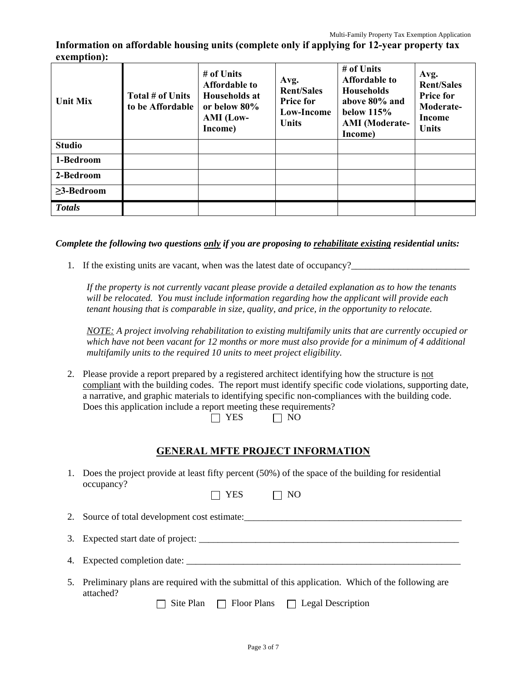**Information on affordable housing units (complete only if applying for 12-year property tax exemption):** 

| <b>Unit Mix</b>  | Total # of Units<br>to be Affordable | # of Units<br><b>Affordable to</b><br>Households at<br>or below 80%<br>AMI (Low-<br>Income) | Avg.<br><b>Rent/Sales</b><br><b>Price for</b><br>Low-Income<br>Units | # of Units<br><b>Affordable to</b><br><b>Households</b><br>above 80% and<br>below $115%$<br><b>AMI</b> (Moderate-<br>Income) | Avg.<br><b>Rent/Sales</b><br><b>Price for</b><br>Moderate-<br>Income<br><b>Units</b> |
|------------------|--------------------------------------|---------------------------------------------------------------------------------------------|----------------------------------------------------------------------|------------------------------------------------------------------------------------------------------------------------------|--------------------------------------------------------------------------------------|
| <b>Studio</b>    |                                      |                                                                                             |                                                                      |                                                                                                                              |                                                                                      |
| 1-Bedroom        |                                      |                                                                                             |                                                                      |                                                                                                                              |                                                                                      |
| 2-Bedroom        |                                      |                                                                                             |                                                                      |                                                                                                                              |                                                                                      |
| $\geq$ 3-Bedroom |                                      |                                                                                             |                                                                      |                                                                                                                              |                                                                                      |
| <b>Totals</b>    |                                      |                                                                                             |                                                                      |                                                                                                                              |                                                                                      |

#### *Complete the following two questions only if you are proposing to rehabilitate existing residential units:*

1. If the existing units are vacant, when was the latest date of occupancy?\_\_\_\_\_\_\_\_\_\_\_\_\_\_\_\_\_\_\_\_\_\_\_\_\_

*If the property is not currently vacant please provide a detailed explanation as to how the tenants will be relocated. You must include information regarding how the applicant will provide each tenant housing that is comparable in size, quality, and price, in the opportunity to relocate.* 

*NOTE: A project involving rehabilitation to existing multifamily units that are currently occupied or which have not been vacant for 12 months or more must also provide for a minimum of 4 additional multifamily units to the required 10 units to meet project eligibility.* 

2. Please provide a report prepared by a registered architect identifying how the structure is not compliant with the building codes. The report must identify specific code violations, supporting date, a narrative, and graphic materials to identifying specific non-compliances with the building code. Does this application include a report meeting these requirements?

| $\Box$ YES | $\Box$ NO |
|------------|-----------|
|------------|-----------|

#### **GENERAL MFTE PROJECT INFORMATION**

1. Does the project provide at least fifty percent (50%) of the space of the building for residential occupancy?  $\Box$  YES  $\Box$  NO

|  | 2. Source of total development cost estimate: |
|--|-----------------------------------------------|
|--|-----------------------------------------------|

- 3. Expected start date of project: \_\_\_\_\_\_\_\_\_\_\_\_\_\_\_\_\_\_\_\_\_\_\_\_\_\_\_\_\_\_\_\_\_\_\_\_\_\_\_\_\_\_\_\_\_\_\_\_\_\_\_\_\_\_\_
- 4. Expected completion date: \_\_\_\_\_\_\_\_\_\_\_\_\_\_\_\_\_\_\_\_\_\_\_\_\_\_\_\_\_\_\_\_\_\_\_\_\_\_\_\_\_\_\_\_\_\_\_\_\_\_\_\_\_\_\_\_\_\_
- 5. Preliminary plans are required with the submittal of this application. Which of the following are attached?

 $\Box$  Site Plan  $\Box$  Floor Plans  $\Box$  Legal Description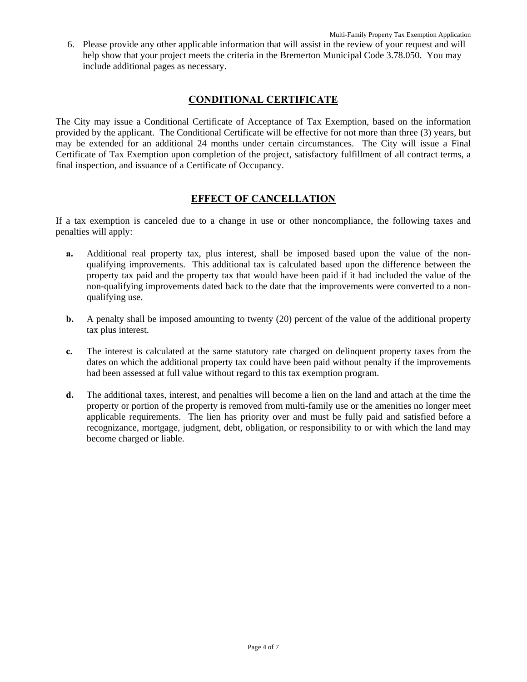6. Please provide any other applicable information that will assist in the review of your request and will help show that your project meets the criteria in the Bremerton Municipal Code 3.78.050. You may include additional pages as necessary.

#### **CONDITIONAL CERTIFICATE**

The City may issue a Conditional Certificate of Acceptance of Tax Exemption, based on the information provided by the applicant. The Conditional Certificate will be effective for not more than three (3) years, but may be extended for an additional 24 months under certain circumstances. The City will issue a Final Certificate of Tax Exemption upon completion of the project, satisfactory fulfillment of all contract terms, a final inspection, and issuance of a Certificate of Occupancy.

#### **EFFECT OF CANCELLATION**

If a tax exemption is canceled due to a change in use or other noncompliance, the following taxes and penalties will apply:

- **a.** Additional real property tax, plus interest, shall be imposed based upon the value of the nonqualifying improvements. This additional tax is calculated based upon the difference between the property tax paid and the property tax that would have been paid if it had included the value of the non-qualifying improvements dated back to the date that the improvements were converted to a nonqualifying use.
- **b.** A penalty shall be imposed amounting to twenty (20) percent of the value of the additional property tax plus interest.
- **c.** The interest is calculated at the same statutory rate charged on delinquent property taxes from the dates on which the additional property tax could have been paid without penalty if the improvements had been assessed at full value without regard to this tax exemption program.
- **d.** The additional taxes, interest, and penalties will become a lien on the land and attach at the time the property or portion of the property is removed from multi-family use or the amenities no longer meet applicable requirements. The lien has priority over and must be fully paid and satisfied before a recognizance, mortgage, judgment, debt, obligation, or responsibility to or with which the land may become charged or liable.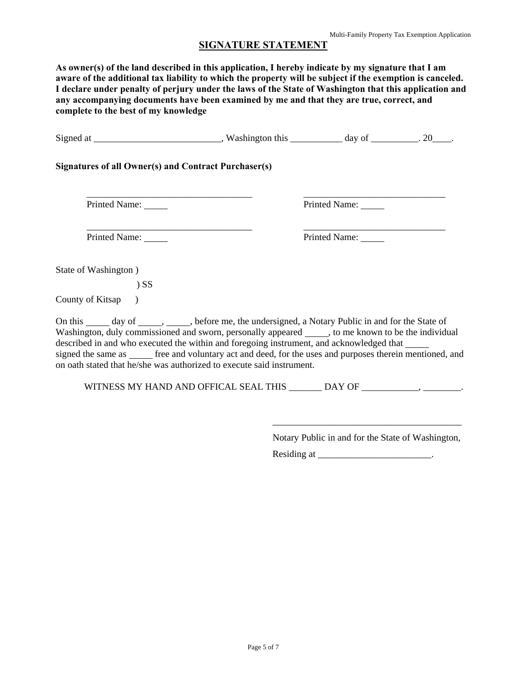#### **SIGNATURE STATEMENT**

**As owner(s) of the land described in this application, I hereby indicate by my signature that I am aware of the additional tax liability to which the property will be subject if the exemption is canceled. I declare under penalty of perjury under the laws of the State of Washington that this application and any accompanying documents have been examined by me and that they are true, correct, and complete to the best of my knowledge** 

| <b>Signatures of all Owner(s) and Contract Purchaser(s)</b>                                                                                                                                                                                                                                                                                                                                                                                                                                          |                                                                                  |                                                   |  |
|------------------------------------------------------------------------------------------------------------------------------------------------------------------------------------------------------------------------------------------------------------------------------------------------------------------------------------------------------------------------------------------------------------------------------------------------------------------------------------------------------|----------------------------------------------------------------------------------|---------------------------------------------------|--|
| Printed Name:                                                                                                                                                                                                                                                                                                                                                                                                                                                                                        |                                                                                  | Printed Name: _____                               |  |
| Printed Name: _____                                                                                                                                                                                                                                                                                                                                                                                                                                                                                  |                                                                                  | Printed Name:                                     |  |
| State of Washington)                                                                                                                                                                                                                                                                                                                                                                                                                                                                                 |                                                                                  |                                                   |  |
| $)$ SS                                                                                                                                                                                                                                                                                                                                                                                                                                                                                               |                                                                                  |                                                   |  |
| County of Kitsap<br>$\lambda$                                                                                                                                                                                                                                                                                                                                                                                                                                                                        |                                                                                  |                                                   |  |
| On this _______ day of ___________, before me, the undersigned, a Notary Public in and for the State of<br>Washington, duly commissioned and sworn, personally appeared ______, to me known to be the individual<br>described in and who executed the within and foregoing instrument, and acknowledged that<br>signed the same as ______ free and voluntary act and deed, for the uses and purposes therein mentioned, and<br>on oath stated that he/she was authorized to execute said instrument. |                                                                                  |                                                   |  |
|                                                                                                                                                                                                                                                                                                                                                                                                                                                                                                      | WITNESS MY HAND AND OFFICAL SEAL THIS _______ DAY OF ___________________________ |                                                   |  |
|                                                                                                                                                                                                                                                                                                                                                                                                                                                                                                      |                                                                                  |                                                   |  |
|                                                                                                                                                                                                                                                                                                                                                                                                                                                                                                      |                                                                                  | Notary Public in and for the State of Washington, |  |
|                                                                                                                                                                                                                                                                                                                                                                                                                                                                                                      |                                                                                  |                                                   |  |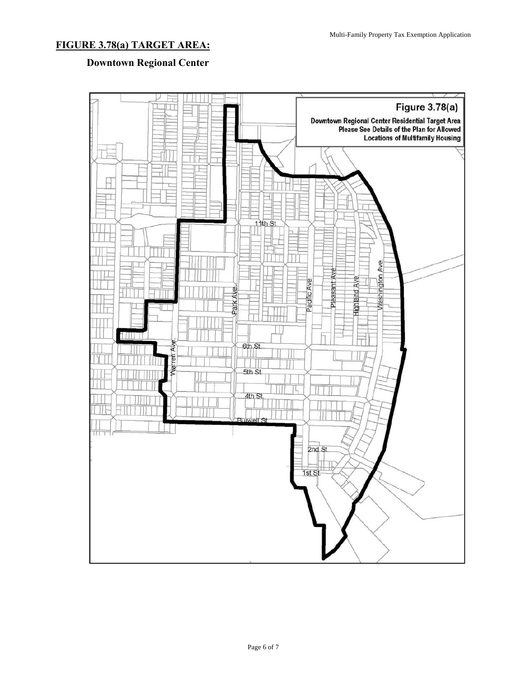# **FIGURE 3.78(a) TARGET AREA:**

# **Downtown Regional Center**